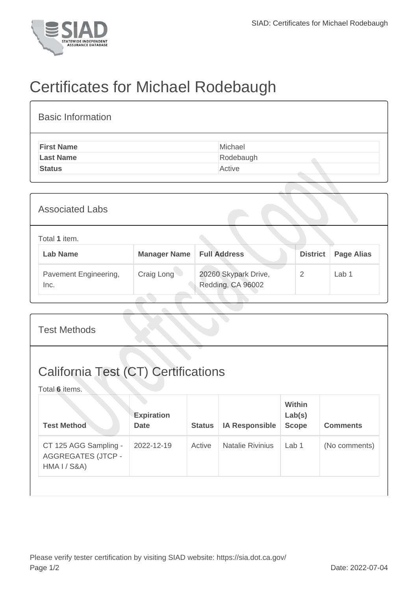

## Certificates for Michael Rodebaugh

| <b>Basic Information</b> |           |
|--------------------------|-----------|
| <b>First Name</b>        | Michael   |
| <b>Last Name</b>         | Rodebaugh |
| <b>Status</b>            | Active    |

| <b>Associated Labs</b> |                                  |                     |                                           |                 |                   |  |
|------------------------|----------------------------------|---------------------|-------------------------------------------|-----------------|-------------------|--|
|                        | Total 1 item.<br><b>Lab Name</b> | <b>Manager Name</b> | <b>Full Address</b>                       | <b>District</b> | <b>Page Alias</b> |  |
| Inc.                   | Pavement Engineering,            | Craig Long          | 20260 Skypark Drive,<br>Redding, CA 96002 | 2               | Lab <sub>1</sub>  |  |

| <b>Test Methods</b>                                                |                                  |               |                         |                                  |                 |
|--------------------------------------------------------------------|----------------------------------|---------------|-------------------------|----------------------------------|-----------------|
| <b>California Test (CT) Certifications</b><br>Total 6 items.       |                                  |               |                         |                                  |                 |
| <b>Test Method</b>                                                 | <b>Expiration</b><br><b>Date</b> | <b>Status</b> | <b>IA Responsible</b>   | Within<br>Lab(s)<br><b>Scope</b> | <b>Comments</b> |
| CT 125 AGG Sampling -<br><b>AGGREGATES (JTCP -</b><br>HMA I / S&A) | 2022-12-19                       | Active        | <b>Natalie Rivinius</b> | Lab 1                            | (No comments)   |
|                                                                    |                                  |               |                         |                                  |                 |